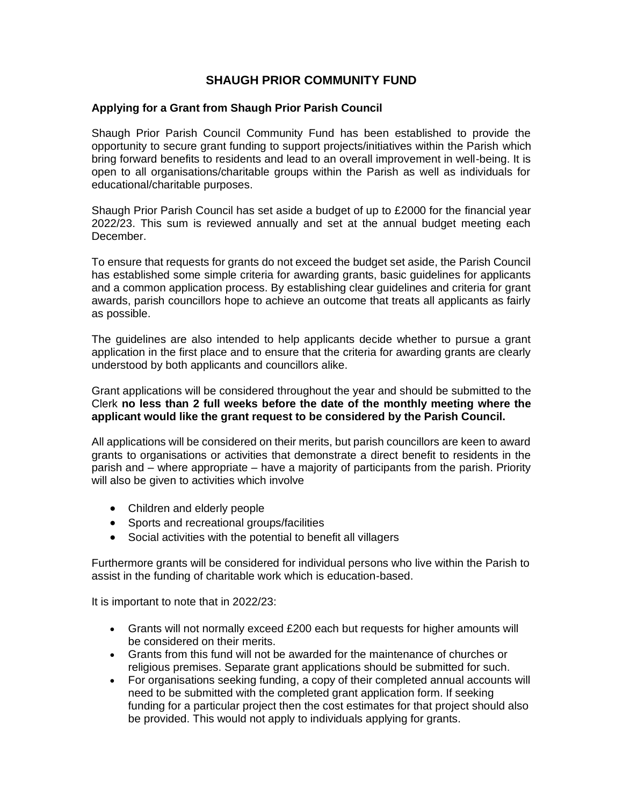# **SHAUGH PRIOR COMMUNITY FUND**

#### **Applying for a Grant from Shaugh Prior Parish Council**

Shaugh Prior Parish Council Community Fund has been established to provide the opportunity to secure grant funding to support projects/initiatives within the Parish which bring forward benefits to residents and lead to an overall improvement in well-being. It is open to all organisations/charitable groups within the Parish as well as individuals for educational/charitable purposes.

Shaugh Prior Parish Council has set aside a budget of up to £2000 for the financial year 2022/23. This sum is reviewed annually and set at the annual budget meeting each December.

To ensure that requests for grants do not exceed the budget set aside, the Parish Council has established some simple criteria for awarding grants, basic guidelines for applicants and a common application process. By establishing clear guidelines and criteria for grant awards, parish councillors hope to achieve an outcome that treats all applicants as fairly as possible.

The guidelines are also intended to help applicants decide whether to pursue a grant application in the first place and to ensure that the criteria for awarding grants are clearly understood by both applicants and councillors alike.

Grant applications will be considered throughout the year and should be submitted to the Clerk **no less than 2 full weeks before the date of the monthly meeting where the applicant would like the grant request to be considered by the Parish Council.**

All applications will be considered on their merits, but parish councillors are keen to award grants to organisations or activities that demonstrate a direct benefit to residents in the parish and – where appropriate – have a majority of participants from the parish. Priority will also be given to activities which involve

- Children and elderly people
- Sports and recreational groups/facilities
- Social activities with the potential to benefit all villagers

Furthermore grants will be considered for individual persons who live within the Parish to assist in the funding of charitable work which is education-based.

It is important to note that in 2022/23:

- Grants will not normally exceed £200 each but requests for higher amounts will be considered on their merits.
- Grants from this fund will not be awarded for the maintenance of churches or religious premises. Separate grant applications should be submitted for such.
- For organisations seeking funding, a copy of their completed annual accounts will need to be submitted with the completed grant application form. If seeking funding for a particular project then the cost estimates for that project should also be provided. This would not apply to individuals applying for grants.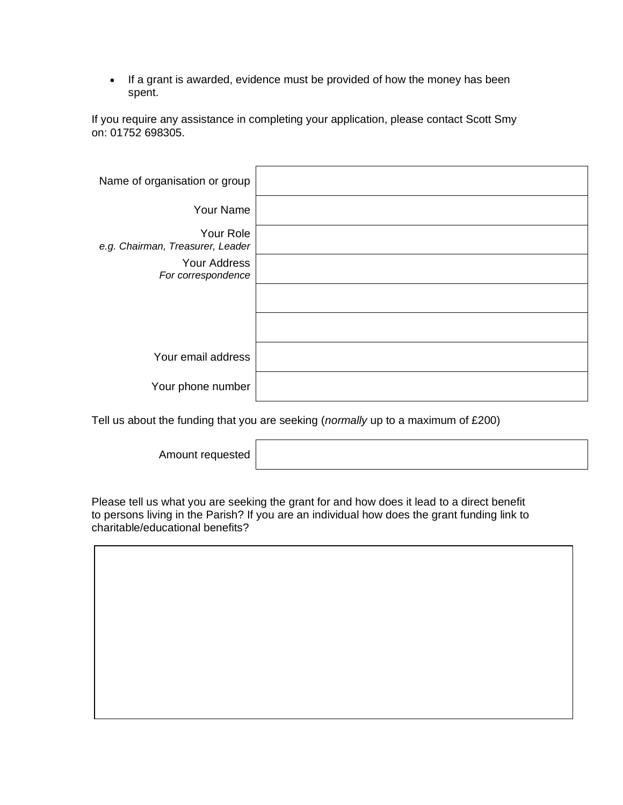• If a grant is awarded, evidence must be provided of how the money has been spent.

If you require any assistance in completing your application, please contact Scott Smy on: 01752 698305.

| Name of organisation or group                 |  |
|-----------------------------------------------|--|
| Your Name                                     |  |
| Your Role<br>e.g. Chairman, Treasurer, Leader |  |
| Your Address<br>For correspondence            |  |
|                                               |  |
|                                               |  |
| Your email address                            |  |
| Your phone number                             |  |

Tell us about the funding that you are seeking (*normally* up to a maximum of £200)

Amount requested

Please tell us what you are seeking the grant for and how does it lead to a direct benefit to persons living in the Parish? If you are an individual how does the grant funding link to charitable/educational benefits?